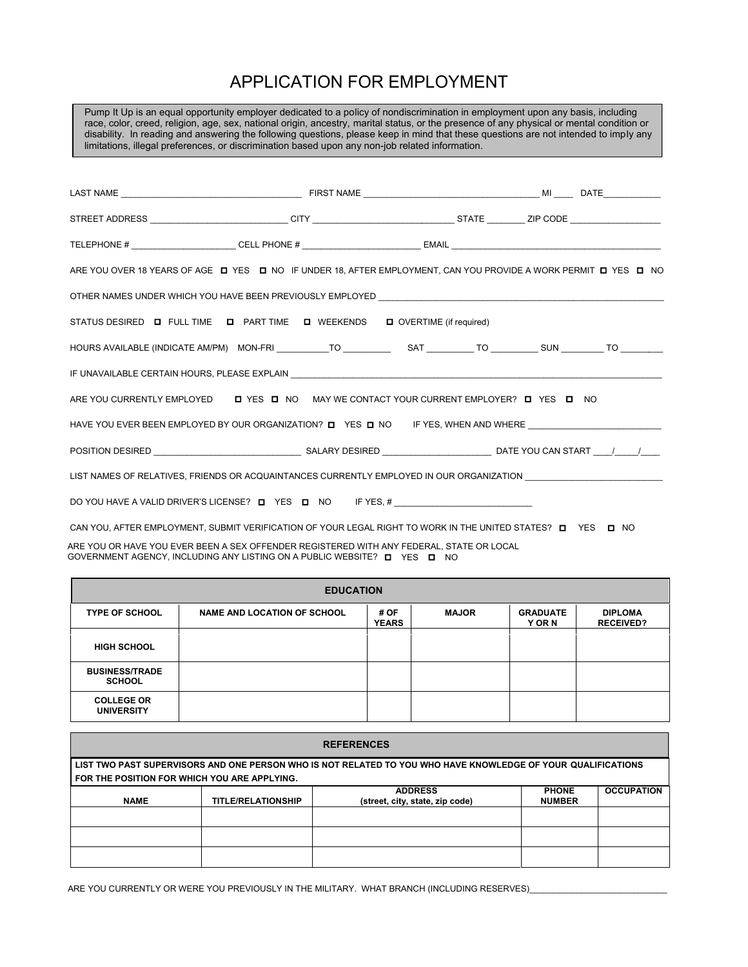## APPLICATION FOR EMPLOYMENT

LAST NAME \_\_\_\_\_\_\_\_\_\_\_\_\_\_\_\_\_\_\_\_\_\_\_\_\_\_\_\_\_\_\_\_\_\_\_\_\_\_ FIRST NAME \_\_\_\_\_\_\_\_\_\_\_\_\_\_\_\_\_\_\_\_\_\_\_\_\_\_\_\_\_\_\_\_\_\_\_\_\_ MI \_\_\_\_ DATE\_\_\_\_\_\_\_\_\_\_\_\_ STREET ADDRESS \_\_\_\_\_\_\_\_\_\_\_\_\_\_\_\_\_\_\_\_\_\_\_\_\_\_\_\_\_ CITY \_\_\_\_\_\_\_\_\_\_\_\_\_\_\_\_\_\_\_\_\_\_\_\_\_\_\_\_\_\_ STATE \_\_\_\_\_\_\_\_ ZIP CODE \_\_\_\_\_\_\_\_\_\_\_\_\_\_\_\_\_\_\_ TELEPHONE # \_\_\_\_\_\_\_\_\_\_\_\_\_\_\_\_\_\_\_\_\_\_ CELL PHONE # \_\_\_\_\_\_\_\_\_\_\_\_\_\_\_\_\_\_\_\_\_\_\_\_\_ EMAIL \_\_\_\_\_\_\_\_\_\_\_\_\_\_\_\_\_\_\_\_\_\_\_\_\_\_\_\_\_\_\_\_\_\_\_\_\_\_\_\_\_\_\_\_ ARE YOU OVER 18 YEARS OF AGE DI YES DI NO IF UNDER 18, AFTER EMPLOYMENT, CAN YOU PROVIDE A WORK PERMIT DI YES DI NO OTHER NAMES UNDER WHICH YOU HAVE BEEN PREVIOUSLY EMPLOYED \_\_\_\_ STATUS DESIRED **O** FULL TIME **O** PART TIME **O** WEEKENDS **O** OVERTIME (if required) HOURS AVAILABLE (INDICATE AM/PM) MON-FRI \_\_\_\_\_\_\_\_\_\_\_TO \_\_\_\_\_\_\_\_\_\_ SAT \_\_\_\_\_\_\_\_\_\_ TO \_\_\_\_\_\_\_\_\_\_ SUN \_\_\_\_\_\_\_\_\_ TO \_\_\_\_\_\_\_\_\_ IF UNAVAILABLE CERTAIN HOURS, PLEASE EXPLAIN ARE YOU CURRENTLY EMPLOYED DI YES DI NO MAY WE CONTACT YOUR CURRENT EMPLOYER? DI YES DI NO HAVE YOU EVER BEEN EMPLOYED BY OUR ORGANIZATION?  $\Box$  YES  $\Box$  NO IF YES, WHEN AND WHERE POSITION DESIRED \_\_\_\_\_\_\_\_\_\_\_\_\_\_\_\_\_\_\_\_\_\_\_\_\_\_\_\_\_\_\_ SALARY DESIRED \_\_\_\_\_\_\_\_\_\_\_\_\_\_\_\_\_\_\_\_\_\_\_ DATE YOU CAN START \_\_\_\_/\_\_\_\_\_/\_\_\_\_ LIST NAMES OF RELATIVES, FRIENDS OR ACQUAINTANCES CURRENTLY EMPLOYED IN OUR ORGANIZATION \_\_\_\_\_\_\_ DO YOU HAVE A VALID DRIVER'S LICENSE? DE YES DE NO FYES, # \_\_\_\_\_\_\_\_\_\_\_\_\_\_\_\_\_\_\_\_\_ CAN YOU, AFTER EMPLOYMENT, SUBMIT VERIFICATION OF YOUR LEGAL RIGHT TO WORK IN THE UNITED STATES?  $\Box$  YES  $\Box$  NO Pump It Up is an equal opportunity employer dedicated to a policy of nondiscrimination in employment upon any basis, including race, color, creed, religion, age, sex, national origin, ancestry, marital status, or the presence of any physical or mental condition or disability. In reading and answering the following questions, please keep in mind that these questions are not intended to imply any limitations, illegal preferences, or discrimination based upon any non-job related information.

GOVERNMENT AGENCY, INCLUDING ANY LISTING ON A PUBLIC WEBSITE? ◘ YES ◘ NO ARE YOU OR HAVE YOU EVER BEEN A SEX OFFENDER REGISTERED WITH ANY FEDERAL, STATE OR LOCAL

| <b>EDUCATION</b>                       |                                    |                      |              |                           |                                    |  |  |
|----------------------------------------|------------------------------------|----------------------|--------------|---------------------------|------------------------------------|--|--|
| <b>TYPE OF SCHOOL</b>                  | <b>NAME AND LOCATION OF SCHOOL</b> | # OF<br><b>YEARS</b> | <b>MAJOR</b> | <b>GRADUATE</b><br>Y OR N | <b>DIPLOMA</b><br><b>RECEIVED?</b> |  |  |
| <b>HIGH SCHOOL</b>                     |                                    |                      |              |                           |                                    |  |  |
| <b>BUSINESS/TRADE</b><br><b>SCHOOL</b> |                                    |                      |              |                           |                                    |  |  |
| <b>COLLEGE OR</b><br><b>UNIVERSITY</b> |                                    |                      |              |                           |                                    |  |  |

| <b>REFERENCES</b>                                                                                                                                            |                           |                                                   |                               |                   |  |  |  |
|--------------------------------------------------------------------------------------------------------------------------------------------------------------|---------------------------|---------------------------------------------------|-------------------------------|-------------------|--|--|--|
| LIST TWO PAST SUPERVISORS AND ONE PERSON WHO IS NOT RELATED TO YOU WHO HAVE KNOWLEDGE OF YOUR QUALIFICATIONS<br>FOR THE POSITION FOR WHICH YOU ARE APPLYING. |                           |                                                   |                               |                   |  |  |  |
| <b>NAME</b>                                                                                                                                                  | <b>TITLE/RELATIONSHIP</b> | <b>ADDRESS</b><br>(street, city, state, zip code) | <b>PHONE</b><br><b>NUMBER</b> | <b>OCCUPATION</b> |  |  |  |
|                                                                                                                                                              |                           |                                                   |                               |                   |  |  |  |
|                                                                                                                                                              |                           |                                                   |                               |                   |  |  |  |
|                                                                                                                                                              |                           |                                                   |                               |                   |  |  |  |

ARE YOU CURRENTLY OR WERE YOU PREVIOUSLY IN THE MILITARY. WHAT BRANCH (INCLUDING RESERVES)